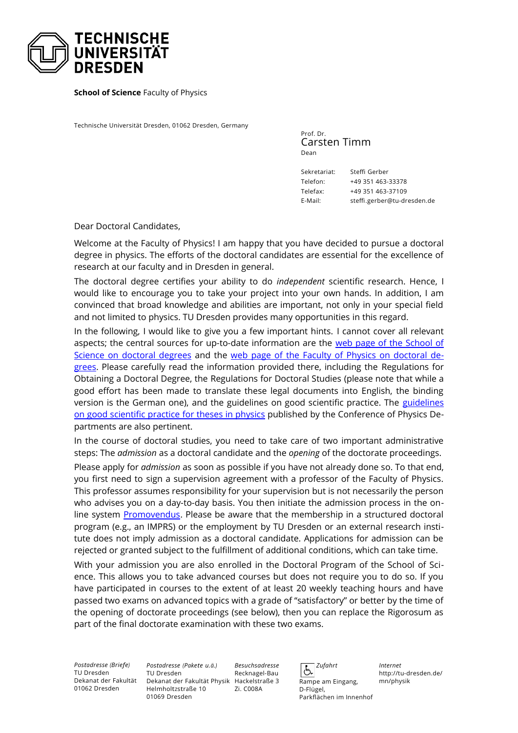

**School of Science** Faculty of Physics

Technische Universität Dresden, 01062 Dresden, Germany

Prof. Dr. Carsten Timm Dean

Sekretariat: Steffi Gerber Telefon: +49 351 463-33378 Telefax: +49 351 463-37109 E-Mail: steffi.gerber@tu-dresden.de

Dear Doctoral Candidates,

Welcome at the Faculty of Physics! I am happy that you have decided to pursue a doctoral degree in physics. The efforts of the doctoral candidates are essential for the excellence of research at our faculty and in Dresden in general.

The doctoral degree certifies your ability to do *independent* scientific research. Hence, I would like to encourage you to take your project into your own hands. In addition, I am convinced that broad knowledge and abilities are important, not only in your special field and not limited to physics. TU Dresden provides many opportunities in this regard.

In the following, I would like to give you a few important hints. I cannot cover all relevant aspects; the central sources for up-to-date information are the [web page of the School of](https://tu-dresden.de/mn/postgraduales/promotion) [Science on doctoral degrees](https://tu-dresden.de/mn/postgraduales/promotion) and the [web page of the Faculty of Physics on doctoral de](https://tu-dresden.de/mn/physik/forschung/promotion-habilitation/index)[grees.](https://tu-dresden.de/mn/physik/forschung/promotion-habilitation/index) Please carefully read the information provided there, including the Regulations for Obtaining a Doctoral Degree, the Regulations for Doctoral Studies (please note that while a good effort has been made to translate these legal documents into English, the binding version is the German one), and the [guidelines](https://www.kfp-physik.de/dokument/Good_scientific_practice_160603.pdf) on good scientific practice. The guidelines [on good scientific practice for theses in physics](https://www.kfp-physik.de/dokument/Good_scientific_practice_160603.pdf) published by the Conference of Physics Departments are also pertinent.

In the course of doctoral studies, you need to take care of two important administrative steps: The *admission* as a doctoral candidate and the *opening* of the doctorate proceedings.

Please apply for *admission* as soon as possible if you have not already done so. To that end, you first need to sign a supervision agreement with a professor of the Faculty of Physics. This professor assumes responsibility for your supervision but is not necessarily the person who advises you on a day-to-day basis. You then initiate the admission process in the online system [Promovendus](https://promovendus.tu-dresden.de/). Please be aware that the membership in a structured doctoral program (e.g., an IMPRS) or the employment by TU Dresden or an external research institute does not imply admission as a doctoral candidate. Applications for admission can be rejected or granted subject to the fulfillment of additional conditions, which can take time.

With your admission you are also enrolled in the Doctoral Program of the School of Science. This allows you to take advanced courses but does not require you to do so. If you have participated in courses to the extent of at least 20 weekly teaching hours and have passed two exams on advanced topics with a grade of "satisfactory" or better by the time of the opening of doctorate proceedings (see below), then you can replace the Rigorosum as part of the final doctorate examination with these two exams.

*Postadresse (Briefe)* TU Dresden Dekanat der Fakultät 01062 Dresden

*Postadresse (Pakete u.ä.)* TU Dresden Dekanat der Fakultät Physik Hackelstraße 3 Helmholtzstraße 10 01069 Dresden

*Besuchsadresse* Recknagel-Bau Zi. C008A

 *Zufahrt* Ġ Rampe am Eingang, D-Flügel, Parkflächen im Innenhof

*Internet* http://tu-dresden.de/ mn/physik